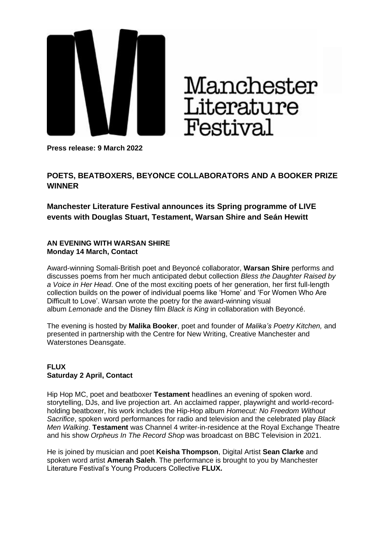

# Manchester<br>Literature **Festival**

**Press release: 9 March 2022**

## **POETS, BEATBOXERS, BEYONCE COLLABORATORS AND A BOOKER PRIZE WINNER**

**Manchester Literature Festival announces its Spring programme of LIVE events with Douglas Stuart, Testament, Warsan Shire and Seán Hewitt** 

#### **AN EVENING WITH WARSAN SHIRE Monday 14 March, Contact**

Award-winning Somali-British poet and Beyoncé collaborator, **Warsan Shire** performs and discusses poems from her much anticipated debut collection *Bless the Daughter Raised by a Voice in Her Head*. One of the most exciting poets of her generation, her first full-length collection builds on the power of individual poems like 'Home' and 'For Women Who Are Difficult to Love'. Warsan wrote the poetry for the award-winning visual album *Lemonade* and the Disney film *Black is King* in collaboration with Beyoncé.

The evening is hosted by **Malika Booker**, poet and founder of *Malika's Poetry Kitchen,* and presented in partnership with the Centre for New Writing, Creative Manchester and Waterstones Deansgate.

## **FLUX Saturday 2 April, Contact**

Hip Hop MC, poet and beatboxer **Testament** headlines an evening of spoken word. storytelling, DJs, and live projection art. An acclaimed rapper, playwright and world-recordholding beatboxer, his work includes the Hip-Hop album *Homecut: No Freedom Without Sacrifice*, spoken word performances for radio and television and the celebrated play *Black Men Walking*. **Testament** was Channel 4 writer-in-residence at the Royal Exchange Theatre and his show *Orpheus In The Record Shop* was broadcast on BBC Television in 2021.

He is joined by musician and poet **Keisha Thompson**, Digital Artist **Sean Clarke** and spoken word artist **Amerah Saleh**. The performance is brought to you by Manchester Literature Festival's Young Producers Collective **FLUX.**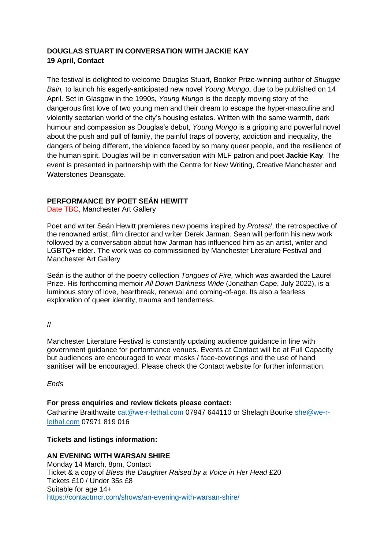## **DOUGLAS STUART IN CONVERSATION WITH JACKIE KAY 19 April, Contact**

The festival is delighted to welcome Douglas Stuart, Booker Prize-winning author of *Shuggie Bain,* to launch his eagerly-anticipated new novel *Young Mungo*, due to be published on 14 April. Set in Glasgow in the 1990s, *Young Mungo* is the deeply moving story of the dangerous first love of two young men and their dream to escape the hyper-masculine and violently sectarian world of the city's housing estates. Written with the same warmth, dark humour and compassion as Douglas's debut, *Young Mungo* is a gripping and powerful novel about the push and pull of family, the painful traps of poverty, addiction and inequality, the dangers of being different, the violence faced by so many queer people, and the resilience of the human spirit. Douglas will be in conversation with MLF patron and poet **Jackie Kay**. The event is presented in partnership with the Centre for New Writing, Creative Manchester and Waterstones Deansgate.

## **PERFORMANCE BY POET SEÁN HEWITT**

Date TBC, Manchester Art Gallery

Poet and writer Seán Hewitt premieres new poems inspired by *Protest!*, the retrospective of the renowned artist, film director and writer Derek Jarman. Sean will perform his new work followed by a conversation about how Jarman has influenced him as an artist, writer and LGBTQ+ elder. The work was co-commissioned by Manchester Literature Festival and Manchester Art Gallery

Seán is the author of the poetry collection *Tongues of Fire,* which was awarded the Laurel Prize. His forthcoming memoir *All Down Darkness Wide* (Jonathan Cape, July 2022), is a luminous story of love, heartbreak, renewal and coming-of-age. Its also a fearless exploration of queer identity, trauma and tenderness.

//

Manchester Literature Festival is constantly updating audience guidance in line with government guidance for performance venues. Events at Contact will be at Full Capacity but audiences are encouraged to wear masks / face-coverings and the use of hand sanitiser will be encouraged. Please check the Contact website for further information.

*Ends*

#### **For press enquiries and review tickets please contact:**

Catharine Braithwaite [cat@we-r-lethal.com](mailto:cat@we-r-lethal.com) 07947 644110 or Shelagh Bourke [she@we-r](mailto:she@we-r-lethal.com)[lethal.com](mailto:she@we-r-lethal.com) 07971 819 016

#### **Tickets and listings information:**

**AN EVENING WITH WARSAN SHIRE** Monday 14 March, 8pm, Contact Ticket & a copy of *Bless the Daughter Raised by a Voice in Her Head* £20 Tickets £10 / Under 35s £8 Suitable for age 14+ <https://contactmcr.com/shows/an-evening-with-warsan-shire/>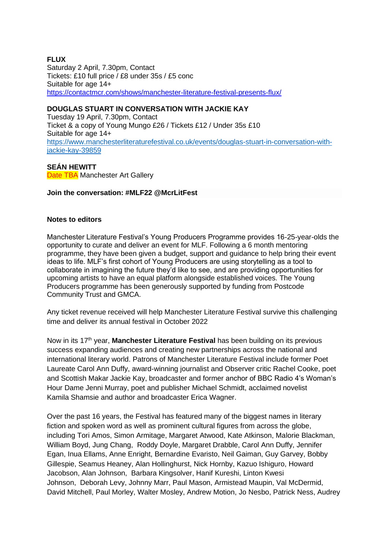## **FLUX**

Saturday 2 April, 7.30pm, Contact Tickets: £10 full price / £8 under 35s / £5 conc Suitable for age 14+ <https://contactmcr.com/shows/manchester-literature-festival-presents-flux/>

## **DOUGLAS STUART IN CONVERSATION WITH JACKIE KAY**

Tuesday 19 April, 7.30pm, Contact Ticket & a copy of Young Mungo £26 / Tickets £12 / Under 35s £10 Suitable for age 14+ [https://www.manchesterliteraturefestival.co.uk/events/douglas-stuart-in-conversation-with](https://www.manchesterliteraturefestival.co.uk/events/douglas-stuart-in-conversation-with-jackie-kay-39859)[jackie-kay-39859](https://www.manchesterliteraturefestival.co.uk/events/douglas-stuart-in-conversation-with-jackie-kay-39859)

#### **SEÁN HEWITT**

**Date TBA Manchester Art Gallery** 

#### **Join the conversation: #MLF22 @McrLitFest**

#### **Notes to editors**

Manchester Literature Festival's Young Producers Programme provides 16-25-year-olds the opportunity to curate and deliver an event for MLF. Following a 6 month mentoring programme, they have been given a budget, support and guidance to help bring their event ideas to life. MLF's first cohort of Young Producers are using storytelling as a tool to collaborate in imagining the future they'd like to see, and are providing opportunities for upcoming artists to have an equal platform alongside established voices. The Young Producers programme has been generously supported by funding from Postcode Community Trust and GMCA.

Any ticket revenue received will help Manchester Literature Festival survive this challenging time and deliver its annual festival in October 2022

Now in its 17<sup>th</sup> year, **Manchester Literature Festival** has been building on its previous success expanding audiences and creating new partnerships across the national and international literary world. Patrons of Manchester Literature Festival include former Poet Laureate Carol Ann Duffy, award-winning journalist and Observer critic Rachel Cooke, poet and Scottish Makar Jackie Kay, broadcaster and former anchor of BBC Radio 4's Woman's Hour Dame Jenni Murray, poet and publisher Michael Schmidt, acclaimed novelist Kamila Shamsie and author and broadcaster Erica Wagner.

Over the past 16 years, the Festival has featured many of the biggest names in literary fiction and spoken word as well as prominent cultural figures from across the globe, including Tori Amos, Simon Armitage, Margaret Atwood, Kate Atkinson, Malorie Blackman, William Boyd, Jung Chang, Roddy Doyle, Margaret Drabble, Carol Ann Duffy, Jennifer Egan, Inua Ellams, Anne Enright, Bernardine Evaristo, Neil Gaiman, Guy Garvey, Bobby Gillespie, Seamus Heaney, Alan Hollinghurst, Nick Hornby, Kazuo Ishiguro, Howard Jacobson, Alan Johnson, Barbara Kingsolver, Hanif Kureshi, Linton Kwesi Johnson, Deborah Levy, Johnny Marr, Paul Mason, Armistead Maupin, Val McDermid, David Mitchell, Paul Morley, Walter Mosley, Andrew Motion, Jo Nesbo, Patrick Ness, Audrey